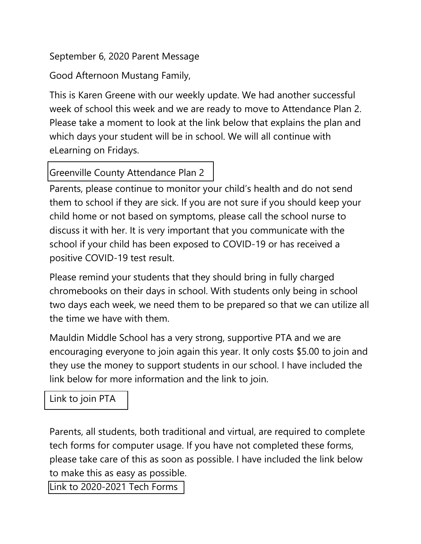## September 6, 2020 Parent Message

Good Afternoon Mustang Family,

This is Karen Greene with our weekly update. We had another successful week of school this week and we are ready to move to Attendance Plan 2. Please take a moment to look at the link below that explains the plan and which days your student will be in school. We will all continue with eLearning on Fridays.

## Greenville County [Attendance](https://www.greenville.k12.sc.us/Parents/main.asp?titleid=returntoschool) Plan 2

Parents, please continue to monitor your child's health and do not send them to school if they are sick. If you are not sure if you should keep your child home or not based on symptoms, please call the school nurse to discuss it with her. It is very important that you communicate with the school if your child has been exposed to COVID-19 or has received a positive COVID-19 test result.

Please remind your students that they should bring in fully charged chromebooks on their days in school. With students only being in school two days each week, we need them to be prepared so that we can utilize all the time we have with them.

Mauldin Middle School has a very strong, supportive PTA and we are encouraging everyone to join again this year. It only costs \$5.00 to join and they use the money to support students in our school. I have included the link below for more information and the link to join.

[Link to join PTA](mauldin.new.memberhub.store/store?category=Memberships)

Parents, all students, both traditional and virtual, are required to complete tech forms for computer usage. If you have not completed these forms, please take care of this as soon as possible. I have included the link below to make this as easy as possible. [Link to 2020-2021 Tech Forms](https://docs.google.com/forms/d/e/1FAIpQLSc0f68Zre7KlKkRYwZaNarZpzzWXwrWED9UhpisfGBHEQ54Xw/viewform)